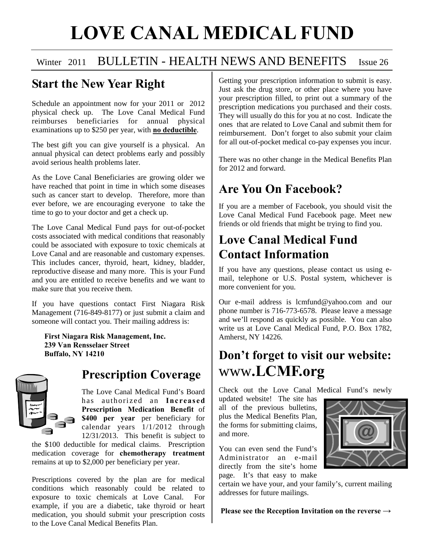# **LOVE CANAL MEDICAL FUND**

#### Winter 2011 BULLETIN - HEALTH NEWS AND BENEFITS Issue 26

#### **Start the New Year Right**

Schedule an appointment now for your 2011 or 2012 physical check up. The Love Canal Medical Fund reimburses beneficiaries for annual physical examinations up to \$250 per year, with **no deductible**.

The best gift you can give yourself is a physical. An annual physical can detect problems early and possibly avoid serious health problems later.

As the Love Canal Beneficiaries are growing older we have reached that point in time in which some diseases such as cancer start to develop. Therefore, more than ever before, we are encouraging everyone to take the time to go to your doctor and get a check up.

The Love Canal Medical Fund pays for out-of-pocket costs associated with medical conditions that reasonably could be associated with exposure to toxic chemicals at Love Canal and are reasonable and customary expenses. This includes cancer, thyroid, heart, kidney, bladder, reproductive disease and many more. This is your Fund and you are entitled to receive benefits and we want to make sure that you receive them.

If you have questions contact First Niagara Risk Management (716-849-8177) or just submit a claim and someone will contact you. Their mailing address is:

 **First Niagara Risk Management, Inc. 239 Van Rensselaer Street Buffalo, NY 14210** 



#### **Prescription Coverage**

The Love Canal Medical Fund's Board has authorized an **Increased Prescription Medication Benefit** of **\$400 per year** per beneficiary for calendar years 1/1/2012 through 12/31/2013. This benefit is subject to

the \$100 deductible for medical claims. Prescription medication coverage for **chemotherapy treatment**  remains at up to \$2,000 per beneficiary per year.

Prescriptions covered by the plan are for medical conditions which reasonably could be related to exposure to toxic chemicals at Love Canal. For example, if you are a diabetic, take thyroid or heart medication, you should submit your prescription costs to the Love Canal Medical Benefits Plan.

Getting your prescription information to submit is easy. Just ask the drug store, or other place where you have your prescription filled, to print out a summary of the prescription medications you purchased and their costs. They will usually do this for you at no cost. Indicate the ones that are related to Love Canal and submit them for reimbursement. Don't forget to also submit your claim for all out-of-pocket medical co-pay expenses you incur.

There was no other change in the Medical Benefits Plan for 2012 and forward.

## **Are You On Facebook?**

If you are a member of Facebook, you should visit the Love Canal Medical Fund Facebook page. Meet new friends or old friends that might be trying to find you.

### **Love Canal Medical Fund Contact Information**

If you have any questions, please contact us using email, telephone or U.S. Postal system, whichever is more convenient for you.

Our e-mail address is lcmfund@yahoo.com and our phone number is 716-773-6578. Please leave a message and we'll respond as quickly as possible. You can also write us at Love Canal Medical Fund, P.O. Box 1782, Amherst, NY 14226.

# **Don't forget to visit our website:**  www**.LCMF.org**

Check out the Love Canal Medical Fund's newly

updated website! The site has all of the previous bulletins, plus the Medical Benefits Plan, the forms for submitting claims, and more.

You can even send the Fund's Administrator an e-mail directly from the site's home page. It's that easy to make

certain we have your, and your family's, current mailing addresses for future mailings.

 **Please see the Reception Invitation on the reverse →**